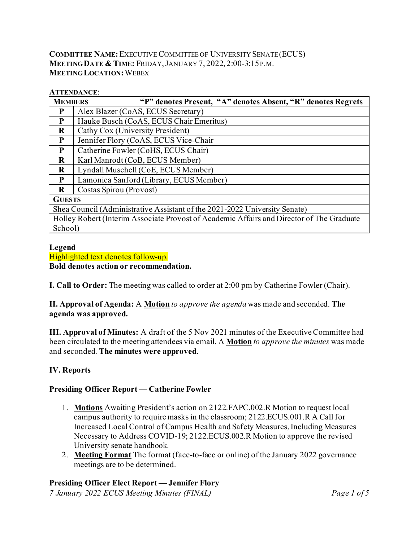### **COMMITTEE NAME:**EXECUTIVE COMMITTEE OF UNIVERSITY SENATE (ECUS) **MEETING DATE & TIME:** FRIDAY,JANUARY 7, 2022, 2:00-3:15P.M. **MEETING LOCATION:**WEBEX

#### **ATTENDANCE**:

| <b>MEMBERS</b>                                                                            | "P" denotes Present, "A" denotes Absent, "R" denotes Regrets |  |  |  |  |  |  |
|-------------------------------------------------------------------------------------------|--------------------------------------------------------------|--|--|--|--|--|--|
| P                                                                                         | Alex Blazer (CoAS, ECUS Secretary)                           |  |  |  |  |  |  |
| P                                                                                         | Hauke Busch (CoAS, ECUS Chair Emeritus)                      |  |  |  |  |  |  |
| $\bf R$                                                                                   | Cathy Cox (University President)                             |  |  |  |  |  |  |
| P                                                                                         | Jennifer Flory (CoAS, ECUS Vice-Chair                        |  |  |  |  |  |  |
| P                                                                                         | Catherine Fowler (CoHS, ECUS Chair)                          |  |  |  |  |  |  |
| $\bf{R}$                                                                                  | Karl Manrodt (CoB, ECUS Member)                              |  |  |  |  |  |  |
| $\bf{R}$                                                                                  | Lyndall Muschell (CoE, ECUS Member)                          |  |  |  |  |  |  |
| P                                                                                         | Lamonica Sanford (Library, ECUS Member)                      |  |  |  |  |  |  |
| R                                                                                         | Costas Spirou (Provost)                                      |  |  |  |  |  |  |
| <b>GUESTS</b>                                                                             |                                                              |  |  |  |  |  |  |
| Shea Council (Administrative Assistant of the 2021-2022 University Senate)                |                                                              |  |  |  |  |  |  |
| Holley Robert (Interim Associate Provost of Academic Affairs and Director of The Graduate |                                                              |  |  |  |  |  |  |
| School)                                                                                   |                                                              |  |  |  |  |  |  |

#### **Legend** Highlighted text denotes follow-up. **Bold denotes action or recommendation.**

**I. Call to Order:** The meeting was called to order at 2:00 pm by Catherine Fowler (Chair).

# **II. Approval of Agenda:** A **Motion** *to approve the agenda* was made and seconded. **The agenda was approved.**

**III. Approval of Minutes:** A draft of the 5 Nov 2021 minutes of the Executive Committee had been circulated to the meeting attendees via email. A **Motion** *to approve the minutes* was made and seconded. **The minutes were approved**.

## **IV. Reports**

## **Presiding Officer Report — Catherine Fowler**

- 1. **Motions** Awaiting President's action on 2122.FAPC.002.R Motion to request local campus authority to require masks in the classroom; 2122.ECUS.001.R A Call for Increased Local Control of Campus Health and Safety Measures, Including Measures Necessary to Address COVID-19; 2122.ECUS.002.R Motion to approve the revised University senate handbook.
- 2. **Meeting Format** The format (face-to-face or online) of the January 2022 governance meetings are to be determined.

## **Presiding Officer Elect Report — Jennifer Flory**

*7 January 2022 ECUS Meeting Minutes (FINAL) Page 1 of 5*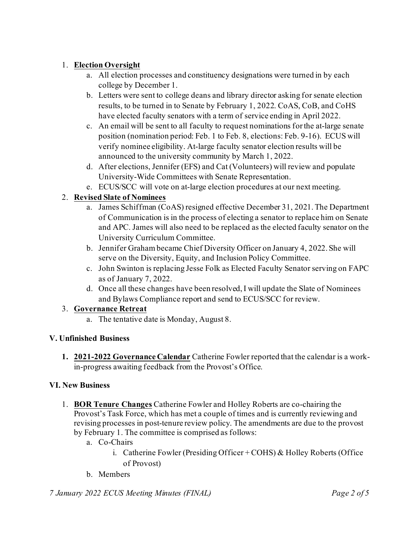# 1. **Election Oversight**

- a. All election processes and constituency designations were turned in by each college by December 1.
- b. Letters were sent to college deans and library director asking for senate election results, to be turned in to Senate by February 1, 2022. CoAS, CoB, and CoHS have elected faculty senators with a term of service ending in April 2022.
- c. An email will be sent to all faculty to request nominations for the at-large senate position (nomination period: Feb. 1 to Feb. 8, elections: Feb. 9-16). ECUS will verify nominee eligibility. At-large faculty senator election results will be announced to the university community by March 1, 2022.
- d. After elections, Jennifer (EFS) and Cat (Volunteers) will review and populate University-Wide Committees with Senate Representation.
- e. ECUS/SCC will vote on at-large election procedures at our next meeting.

# 2. **Revised Slate of Nominees**

- a. James Schiffman (CoAS) resigned effective December 31, 2021. The Department of Communication is in the process of electing a senator to replace him on Senate and APC. James will also need to be replaced as the elected faculty senator on the University Curriculum Committee.
- b. Jennifer Graham became Chief Diversity Officer on January 4, 2022. She will serve on the Diversity, Equity, and Inclusion Policy Committee.
- c. John Swinton is replacing Jesse Folk as Elected Faculty Senator serving on FAPC as of January 7, 2022.
- d. Once all these changes have been resolved, I will update the Slate of Nominees and Bylaws Compliance report and send to ECUS/SCC for review.

# 3. **Governance Retreat**

a. The tentative date is Monday, August 8.

# **V. Unfinished Business**

**1. 2021-2022 Governance Calendar** Catherine Fowler reported that the calendar is a workin-progress awaiting feedback from the Provost's Office.

# **VI. New Business**

- 1. **BOR Tenure Changes** Catherine Fowler and Holley Roberts are co-chairing the Provost's Task Force, which has met a couple of times and is currently reviewing and revising processes in post-tenure review policy. The amendments are due to the provost by February 1. The committee is comprised as follows:
	- a. Co-Chairs
		- i. Catherine Fowler (Presiding Officer + COHS) & Holley Roberts (Office of Provost)
	- b. Members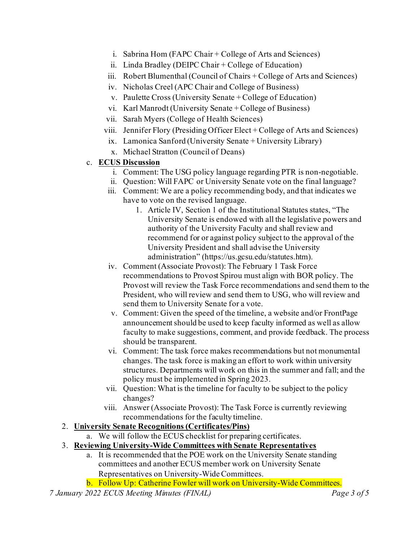- i. Sabrina Hom (FAPC Chair + College of Arts and Sciences)
- ii. Linda Bradley (DEIPC Chair + College of Education)
- iii. Robert Blumenthal (Council of Chairs + College of Arts and Sciences)
- iv. Nicholas Creel (APC Chair and College of Business)
- v. Paulette Cross (University Senate + College of Education)
- vi. Karl Manrodt (University Senate + College of Business)
- vii. Sarah Myers (College of Health Sciences)
- viii. Jennifer Flory (Presiding Officer Elect + College of Arts and Sciences)
- ix. Lamonica Sanford (University Senate + University Library)
- x. Michael Stratton (Council of Deans)
- c. **ECUS Discussion**
	- i. Comment: The USG policy language regarding PTR is non-negotiable.
	- ii. Question: Will FAPC or University Senate vote on the final language?
	- iii. Comment: We are a policy recommending body, and that indicates we have to vote on the revised language.
		- 1. Article IV, Section 1 of the Institutional Statutes states, "The University Senate is endowed with all the legislative powers and authority of the University Faculty and shall review and recommend for or against policy subject to the approval of the University President and shall advise the University administration" (https://us.gcsu.edu/statutes.htm).
	- iv. Comment (Associate Provost): The February 1 Task Force recommendations to Provost Spirou must align with BOR policy. The Provost will review the Task Force recommendations and send them to the President, who will review and send them to USG, who will review and send them to University Senate for a vote.
	- v. Comment: Given the speed of the timeline, a website and/or FrontPage announcement should be used to keep faculty informed as well as allow faculty to make suggestions, comment, and provide feedback. The process should be transparent.
	- vi. Comment: The task force makes recommendations but not monumental changes. The task force is making an effort to work within university structures. Departments will work on this in the summer and fall; and the policy must be implemented in Spring 2023.
	- vii. Question: What is the timeline for faculty to be subject to the policy changes?
	- viii. Answer (Associate Provost): The Task Force is currently reviewing recommendations for the faculty timeline.
- 2. **University Senate Recognitions (Certificates/Pins)**
	- a. We will follow the ECUS checklist for preparing certificates.
- 3. **Reviewing University-Wide Committees with Senate Representatives**
	- a. It is recommended that the POE work on the University Senate standing committees and another ECUS member work on University Senate Representatives on University-Wide Committees.
	- b. Follow Up: Catherine Fowler will work on University-Wide Committees.
- *7 January 2022 ECUS Meeting Minutes (FINAL) Page 3 of 5*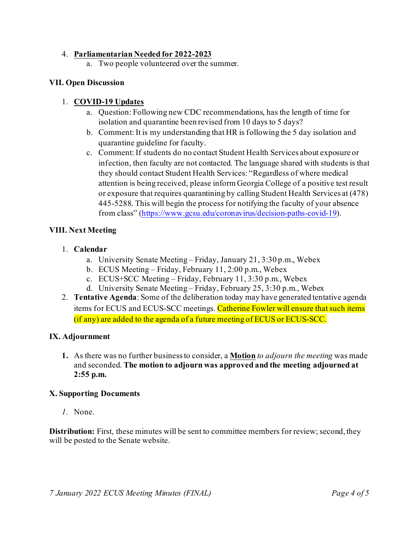### 4. **Parliamentarian Needed for 2022-2023**

a. Two people volunteered over the summer.

### **VII. Open Discussion**

### 1. **COVID-19 Updates**

- a. Question: Following new CDC recommendations, has the length of time for isolation and quarantine been revised from 10 days to 5 days?
- b. Comment: It is my understanding that HR is following the 5 day isolation and quarantine guideline for faculty.
- c. Comment: If students do no contact Student Health Services about exposure or infection, then faculty are not contacted. The language shared with students is that they should contact Student Health Services: "Regardless of where medical attention is being received, please inform Georgia College of a positive test result or exposure that requires quarantining by calling Student Health Services at (478) 445-5288. This will begin the process for notifying the faculty of your absence from class" [\(https://www.gcsu.edu/coronavirus/decision-paths-covid-19](https://www.gcsu.edu/coronavirus/decision-paths-covid-19)).

### **VIII. Next Meeting**

### 1. **Calendar**

- a. University Senate Meeting Friday, January 21, 3:30 p.m., Webex
- b. ECUS Meeting Friday, February 11, 2:00 p.m., Webex
- c. ECUS+SCC Meeting Friday, February 11, 3:30 p.m., Webex
- d. University Senate Meeting Friday, February 25, 3:30 p.m., Webex
- 2. **Tentative Agenda**: Some of the deliberation today may have generated tentative agenda items for ECUS and ECUS-SCC meetings. Catherine Fowler will ensure that such items (if any) are added to the agenda of a future meeting of ECUS or ECUS-SCC.

### **IX. Adjournment**

**1.** As there was no further business to consider, a **Motion** *to adjourn the meeting* was made and seconded. **The motion to adjourn was approved and the meeting adjourned at 2:55 p.m.**

#### **X. Supporting Documents**

*1.* None.

**Distribution:** First, these minutes will be sent to committee members for review; second, they will be posted to the Senate website.